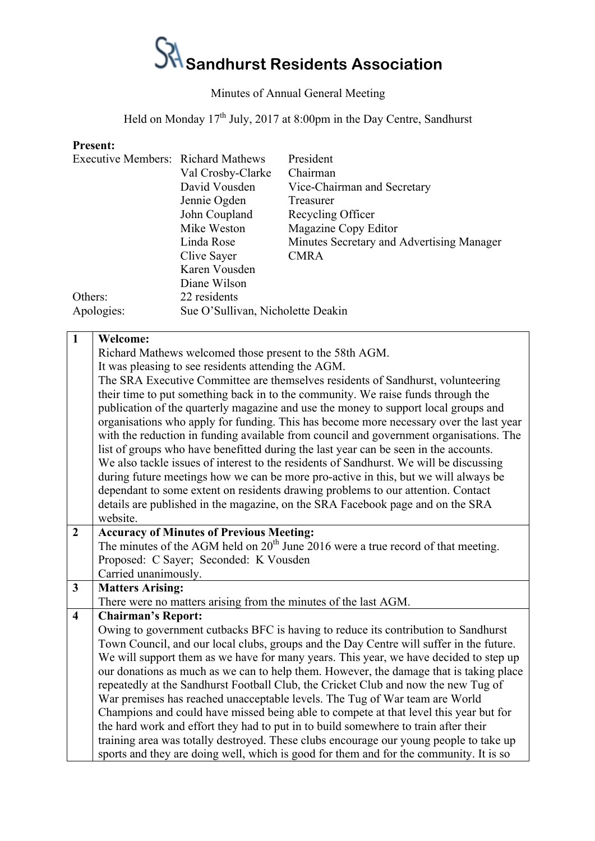## $S$ <sup>1</sup> Sandhurst Residents Association

## Minutes of Annual General Meeting

Held on Monday 17<sup>th</sup> July, 2017 at 8:00pm in the Day Centre, Sandhurst

## **Present:**

| <b>Executive Members: Richard Mathews</b> |                                   | President                                 |  |  |
|-------------------------------------------|-----------------------------------|-------------------------------------------|--|--|
|                                           | Val Crosby-Clarke                 | Chairman                                  |  |  |
|                                           | David Vousden                     | Vice-Chairman and Secretary               |  |  |
|                                           | Jennie Ogden                      | Treasurer                                 |  |  |
|                                           | John Coupland                     | Recycling Officer                         |  |  |
|                                           | Mike Weston                       | Magazine Copy Editor                      |  |  |
|                                           | Linda Rose                        | Minutes Secretary and Advertising Manager |  |  |
|                                           | Clive Sayer                       | <b>CMRA</b>                               |  |  |
|                                           | Karen Vousden                     |                                           |  |  |
|                                           | Diane Wilson                      |                                           |  |  |
| Others:                                   | 22 residents                      |                                           |  |  |
| Apologies:                                | Sue O'Sullivan, Nicholette Deakin |                                           |  |  |

| $\mathbf{1}$            | <b>Welcome:</b>                                                                         |
|-------------------------|-----------------------------------------------------------------------------------------|
|                         | Richard Mathews welcomed those present to the 58th AGM.                                 |
|                         | It was pleasing to see residents attending the AGM.                                     |
|                         | The SRA Executive Committee are themselves residents of Sandhurst, volunteering         |
|                         | their time to put something back in to the community. We raise funds through the        |
|                         | publication of the quarterly magazine and use the money to support local groups and     |
|                         | organisations who apply for funding. This has become more necessary over the last year  |
|                         | with the reduction in funding available from council and government organisations. The  |
|                         | list of groups who have benefitted during the last year can be seen in the accounts.    |
|                         | We also tackle issues of interest to the residents of Sandhurst. We will be discussing  |
|                         | during future meetings how we can be more pro-active in this, but we will always be     |
|                         | dependant to some extent on residents drawing problems to our attention. Contact        |
|                         | details are published in the magazine, on the SRA Facebook page and on the SRA          |
|                         | website.                                                                                |
| $\overline{2}$          | <b>Accuracy of Minutes of Previous Meeting:</b>                                         |
|                         | The minutes of the AGM held on $20th$ June 2016 were a true record of that meeting.     |
|                         | Proposed: C Sayer; Seconded: K Vousden                                                  |
|                         | Carried unanimously.                                                                    |
| $\mathbf{3}$            | <b>Matters Arising:</b>                                                                 |
|                         | There were no matters arising from the minutes of the last AGM.                         |
| $\overline{\mathbf{4}}$ | <b>Chairman's Report:</b>                                                               |
|                         | Owing to government cutbacks BFC is having to reduce its contribution to Sandhurst      |
|                         | Town Council, and our local clubs, groups and the Day Centre will suffer in the future. |
|                         | We will support them as we have for many years. This year, we have decided to step up   |
|                         | our donations as much as we can to help them. However, the damage that is taking place  |
|                         | repeatedly at the Sandhurst Football Club, the Cricket Club and now the new Tug of      |
|                         | War premises has reached unacceptable levels. The Tug of War team are World             |
|                         | Champions and could have missed being able to compete at that level this year but for   |
|                         | the hard work and effort they had to put in to build somewhere to train after their     |
|                         | training area was totally destroyed. These clubs encourage our young people to take up  |
|                         | sports and they are doing well, which is good for them and for the community. It is so  |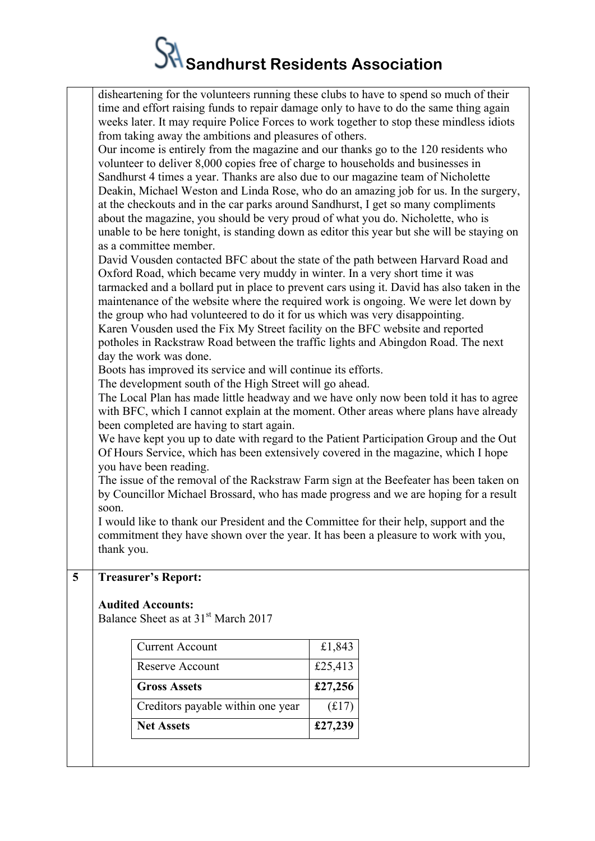## $S$ <sup>1</sup> Sandhurst Residents Association

|   | disheartening for the volunteers running these clubs to have to spend so much of their                                                                                         |                                                                                     |  |  |  |  |  |
|---|--------------------------------------------------------------------------------------------------------------------------------------------------------------------------------|-------------------------------------------------------------------------------------|--|--|--|--|--|
|   | time and effort raising funds to repair damage only to have to do the same thing again                                                                                         |                                                                                     |  |  |  |  |  |
|   | weeks later. It may require Police Forces to work together to stop these mindless idiots                                                                                       |                                                                                     |  |  |  |  |  |
|   |                                                                                                                                                                                |                                                                                     |  |  |  |  |  |
|   | from taking away the ambitions and pleasures of others.                                                                                                                        |                                                                                     |  |  |  |  |  |
|   |                                                                                                                                                                                | Our income is entirely from the magazine and our thanks go to the 120 residents who |  |  |  |  |  |
|   | volunteer to deliver 8,000 copies free of charge to households and businesses in                                                                                               |                                                                                     |  |  |  |  |  |
|   | Sandhurst 4 times a year. Thanks are also due to our magazine team of Nicholette                                                                                               |                                                                                     |  |  |  |  |  |
|   | Deakin, Michael Weston and Linda Rose, who do an amazing job for us. In the surgery,                                                                                           |                                                                                     |  |  |  |  |  |
|   | at the checkouts and in the car parks around Sandhurst, I get so many compliments                                                                                              |                                                                                     |  |  |  |  |  |
|   | about the magazine, you should be very proud of what you do. Nicholette, who is                                                                                                |                                                                                     |  |  |  |  |  |
|   | unable to be here tonight, is standing down as editor this year but she will be staying on                                                                                     |                                                                                     |  |  |  |  |  |
|   | as a committee member.                                                                                                                                                         |                                                                                     |  |  |  |  |  |
|   |                                                                                                                                                                                |                                                                                     |  |  |  |  |  |
|   | David Vousden contacted BFC about the state of the path between Harvard Road and                                                                                               |                                                                                     |  |  |  |  |  |
|   | Oxford Road, which became very muddy in winter. In a very short time it was<br>tarmacked and a bollard put in place to prevent cars using it. David has also taken in the      |                                                                                     |  |  |  |  |  |
|   |                                                                                                                                                                                |                                                                                     |  |  |  |  |  |
|   | maintenance of the website where the required work is ongoing. We were let down by                                                                                             |                                                                                     |  |  |  |  |  |
|   | the group who had volunteered to do it for us which was very disappointing.                                                                                                    |                                                                                     |  |  |  |  |  |
|   | Karen Vousden used the Fix My Street facility on the BFC website and reported                                                                                                  |                                                                                     |  |  |  |  |  |
|   | potholes in Rackstraw Road between the traffic lights and Abingdon Road. The next                                                                                              |                                                                                     |  |  |  |  |  |
|   | day the work was done.                                                                                                                                                         |                                                                                     |  |  |  |  |  |
|   | Boots has improved its service and will continue its efforts.                                                                                                                  |                                                                                     |  |  |  |  |  |
|   | The development south of the High Street will go ahead.                                                                                                                        |                                                                                     |  |  |  |  |  |
|   |                                                                                                                                                                                |                                                                                     |  |  |  |  |  |
|   | The Local Plan has made little headway and we have only now been told it has to agree<br>with BFC, which I cannot explain at the moment. Other areas where plans have already  |                                                                                     |  |  |  |  |  |
|   | been completed are having to start again.                                                                                                                                      |                                                                                     |  |  |  |  |  |
|   | We have kept you up to date with regard to the Patient Participation Group and the Out                                                                                         |                                                                                     |  |  |  |  |  |
|   |                                                                                                                                                                                |                                                                                     |  |  |  |  |  |
|   | Of Hours Service, which has been extensively covered in the magazine, which I hope                                                                                             |                                                                                     |  |  |  |  |  |
|   | you have been reading.                                                                                                                                                         |                                                                                     |  |  |  |  |  |
|   | The issue of the removal of the Rackstraw Farm sign at the Beefeater has been taken on<br>by Councillor Michael Brossard, who has made progress and we are hoping for a result |                                                                                     |  |  |  |  |  |
|   |                                                                                                                                                                                |                                                                                     |  |  |  |  |  |
|   | soon.                                                                                                                                                                          |                                                                                     |  |  |  |  |  |
|   | I would like to thank our President and the Committee for their help, support and the                                                                                          |                                                                                     |  |  |  |  |  |
|   | commitment they have shown over the year. It has been a pleasure to work with you,                                                                                             |                                                                                     |  |  |  |  |  |
|   | thank you.                                                                                                                                                                     |                                                                                     |  |  |  |  |  |
|   |                                                                                                                                                                                |                                                                                     |  |  |  |  |  |
| 5 | <b>Treasurer's Report:</b>                                                                                                                                                     |                                                                                     |  |  |  |  |  |
|   |                                                                                                                                                                                |                                                                                     |  |  |  |  |  |
|   | <b>Audited Accounts:</b>                                                                                                                                                       |                                                                                     |  |  |  |  |  |
|   | Balance Sheet as at 31 <sup>st</sup> March 2017                                                                                                                                |                                                                                     |  |  |  |  |  |
|   |                                                                                                                                                                                |                                                                                     |  |  |  |  |  |
|   | <b>Current Account</b>                                                                                                                                                         | £1,843                                                                              |  |  |  |  |  |
|   | Reserve Account                                                                                                                                                                | £25,413                                                                             |  |  |  |  |  |
|   | <b>Gross Assets</b>                                                                                                                                                            | £27,256                                                                             |  |  |  |  |  |
|   | Creditors payable within one year                                                                                                                                              | (f17)                                                                               |  |  |  |  |  |

**Net Assets £27,239**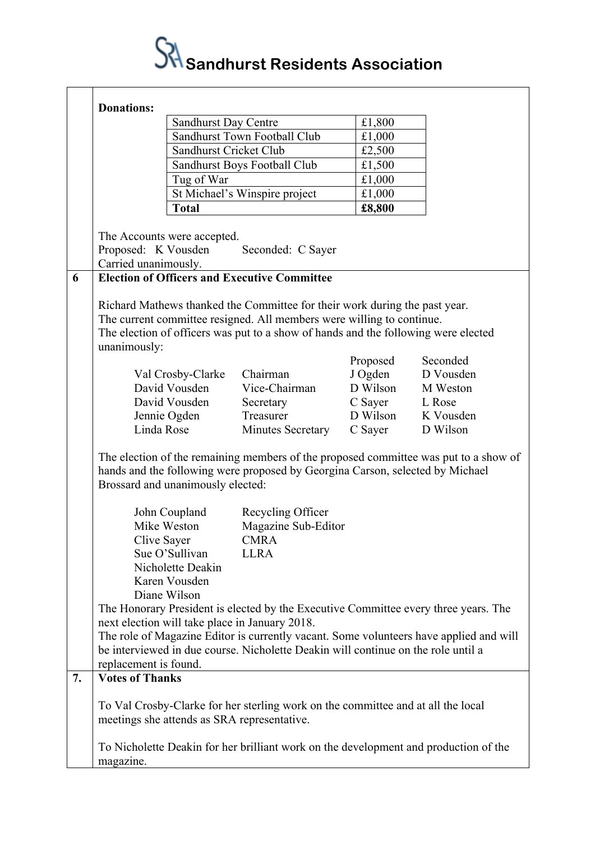

|    | <b>Donations:</b>                 |                             |                                                                                      |          |                                                                                        |
|----|-----------------------------------|-----------------------------|--------------------------------------------------------------------------------------|----------|----------------------------------------------------------------------------------------|
|    |                                   | <b>Sandhurst Day Centre</b> |                                                                                      | £1,800   |                                                                                        |
|    |                                   |                             | Sandhurst Town Football Club                                                         | £1,000   |                                                                                        |
|    |                                   | Sandhurst Cricket Club      |                                                                                      | £2,500   |                                                                                        |
|    |                                   |                             | Sandhurst Boys Football Club                                                         | £1,500   |                                                                                        |
|    |                                   | Tug of War                  |                                                                                      | £1,000   |                                                                                        |
|    |                                   |                             | St Michael's Winspire project                                                        | £1,000   |                                                                                        |
|    |                                   | <b>Total</b>                |                                                                                      | £8,800   |                                                                                        |
|    | The Accounts were accepted.       |                             |                                                                                      |          |                                                                                        |
|    | Proposed: K Vousden               |                             | Seconded: C Sayer                                                                    |          |                                                                                        |
|    | Carried unanimously.              |                             |                                                                                      |          |                                                                                        |
| 6  |                                   |                             | <b>Election of Officers and Executive Committee</b>                                  |          |                                                                                        |
|    |                                   |                             |                                                                                      |          |                                                                                        |
|    |                                   |                             | Richard Mathews thanked the Committee for their work during the past year.           |          |                                                                                        |
|    |                                   |                             | The current committee resigned. All members were willing to continue.                |          |                                                                                        |
|    |                                   |                             | The election of officers was put to a show of hands and the following were elected   |          |                                                                                        |
|    | unanimously:                      |                             |                                                                                      |          |                                                                                        |
|    |                                   |                             |                                                                                      | Proposed | Seconded                                                                               |
|    |                                   | Val Crosby-Clarke           | Chairman                                                                             | J Ogden  | D Vousden                                                                              |
|    |                                   | David Vousden               | Vice-Chairman                                                                        | D Wilson | M Weston                                                                               |
|    |                                   | David Vousden               | Secretary                                                                            | C Sayer  | L Rose                                                                                 |
|    |                                   | Jennie Ogden                | Treasurer                                                                            | D Wilson | K Vousden                                                                              |
|    | Linda Rose                        |                             | <b>Minutes Secretary</b>                                                             | C Sayer  | D Wilson                                                                               |
|    | Brossard and unanimously elected: |                             | hands and the following were proposed by Georgina Carson, selected by Michael        |          | The election of the remaining members of the proposed committee was put to a show of   |
|    |                                   | John Coupland               | Recycling Officer                                                                    |          |                                                                                        |
|    |                                   | Mike Weston                 | Magazine Sub-Editor                                                                  |          |                                                                                        |
|    | Clive Sayer                       |                             | <b>CMRA</b>                                                                          |          |                                                                                        |
|    |                                   | Sue O'Sullivan              | <b>LLRA</b>                                                                          |          |                                                                                        |
|    |                                   | Nicholette Deakin           |                                                                                      |          |                                                                                        |
|    |                                   | Karen Vousden               |                                                                                      |          |                                                                                        |
|    |                                   | Diane Wilson                |                                                                                      |          |                                                                                        |
|    |                                   |                             | The Honorary President is elected by the Executive Committee every three years. The  |          |                                                                                        |
|    |                                   |                             | next election will take place in January 2018.                                       |          |                                                                                        |
|    |                                   |                             | be interviewed in due course. Nicholette Deakin will continue on the role until a    |          | The role of Magazine Editor is currently vacant. Some volunteers have applied and will |
|    | replacement is found.             |                             |                                                                                      |          |                                                                                        |
| 7. | <b>Votes of Thanks</b>            |                             |                                                                                      |          |                                                                                        |
|    |                                   |                             |                                                                                      |          |                                                                                        |
|    |                                   |                             | To Val Crosby-Clarke for her sterling work on the committee and at all the local     |          |                                                                                        |
|    |                                   |                             | meetings she attends as SRA representative.                                          |          |                                                                                        |
|    |                                   |                             | To Nicholette Deakin for her brilliant work on the development and production of the |          |                                                                                        |
|    | magazine.                         |                             |                                                                                      |          |                                                                                        |